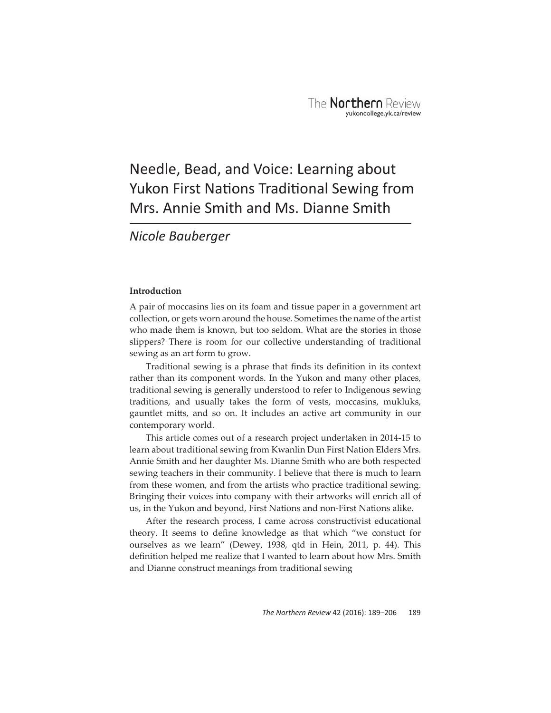# Needle, Bead, and Voice: Learning about Yukon First Nations Traditional Sewing from Mrs. Annie Smith and Ms. Dianne Smith

# *Nicole Bauberger*

# **Introduction**

A pair of moccasins lies on its foam and tissue paper in a government art collection, or gets worn around the house. Sometimes the name of the artist who made them is known, but too seldom. What are the stories in those slippers? There is room for our collective understanding of traditional sewing as an art form to grow.

Traditional sewing is a phrase that finds its definition in its context rather than its component words. In the Yukon and many other places, traditional sewing is generally understood to refer to Indigenous sewing traditions, and usually takes the form of vests, moccasins, mukluks, gauntlet mitts, and so on. It includes an active art community in our contemporary world.

This article comes out of a research project undertaken in 2014-15 to learn about traditional sewing from Kwanlin Dun First Nation Elders Mrs. Annie Smith and her daughter Ms. Dianne Smith who are both respected sewing teachers in their community. I believe that there is much to learn from these women, and from the artists who practice traditional sewing. Bringing their voices into company with their artworks will enrich all of us, in the Yukon and beyond, First Nations and non-First Nations alike.

After the research process, I came across constructivist educational theory. It seems to define knowledge as that which "we constuct for ourselves as we learn" (Dewey, 1938, qtd in Hein, 2011, p. 44). This definition helped me realize that I wanted to learn about how Mrs. Smith and Dianne construct meanings from traditional sewing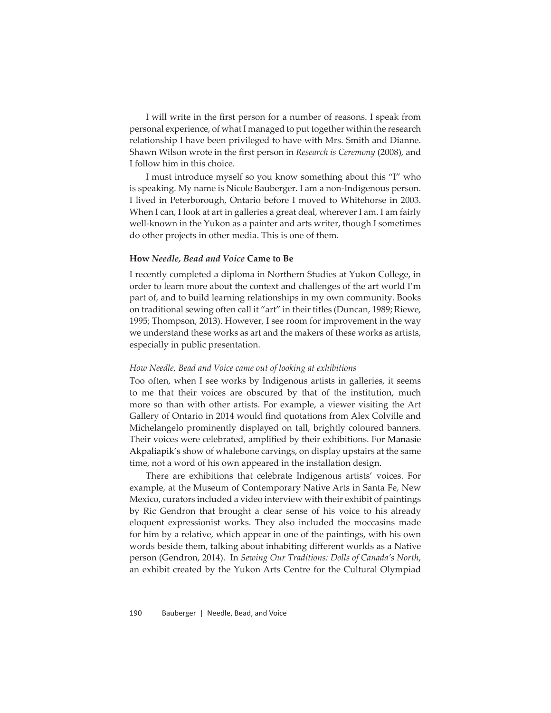I will write in the first person for a number of reasons. I speak from personal experience, of what I managed to put together within the research relationship I have been privileged to have with Mrs. Smith and Dianne. Shawn Wilson wrote in the first person in *Research is Ceremony* (2008), and I follow him in this choice.

I must introduce myself so you know something about this "I" who is speaking. My name is Nicole Bauberger. I am a non-Indigenous person. I lived in Peterborough, Ontario before I moved to Whitehorse in 2003. When I can, I look at art in galleries a great deal, wherever I am. I am fairly well-known in the Yukon as a painter and arts writer, though I sometimes do other projects in other media. This is one of them.

#### **How** *Needle, Bead and Voice* **Came to Be**

I recently completed a diploma in Northern Studies at Yukon College, in order to learn more about the context and challenges of the art world I'm part of, and to build learning relationships in my own community. Books on traditional sewing often call it "art" in their titles (Duncan, 1989; Riewe, 1995; Thompson, 2013). However, I see room for improvement in the way we understand these works as art and the makers of these works as artists, especially in public presentation.

#### *How Needle, Bead and Voice came out of looking at exhibitions*

Too often, when I see works by Indigenous artists in galleries, it seems to me that their voices are obscured by that of the institution, much more so than with other artists. For example, a viewer visiting the Art Gallery of Ontario in 2014 would find quotations from Alex Colville and Michelangelo prominently displayed on tall, brightly coloured banners. Their voices were celebrated, amplified by their exhibitions. For Manasie Akpaliapik's show of whalebone carvings, on display upstairs at the same time, not a word of his own appeared in the installation design.

There are exhibitions that celebrate Indigenous artists' voices. For example, at the Museum of Contemporary Native Arts in Santa Fe, New Mexico, curators included a video interview with their exhibit of paintings by Ric Gendron that brought a clear sense of his voice to his already eloquent expressionist works. They also included the moccasins made for him by a relative, which appear in one of the paintings, with his own words beside them, talking about inhabiting different worlds as a Native person (Gendron, 2014). In *Sewing Our Traditions: Dolls of Canada's North*, an exhibit created by the Yukon Arts Centre for the Cultural Olympiad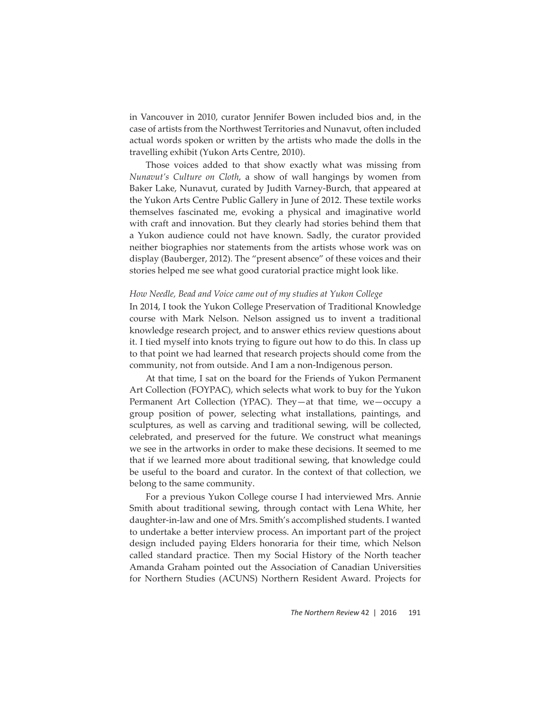in Vancouver in 2010, curator Jennifer Bowen included bios and, in the case of artists from the Northwest Territories and Nunavut, often included actual words spoken or written by the artists who made the dolls in the travelling exhibit (Yukon Arts Centre, 2010).

Those voices added to that show exactly what was missing from *Nunavut's Culture on Cloth*, a show of wall hangings by women from Baker Lake, Nunavut, curated by Judith Varney-Burch, that appeared at the Yukon Arts Centre Public Gallery in June of 2012. These textile works themselves fascinated me, evoking a physical and imaginative world with craft and innovation. But they clearly had stories behind them that a Yukon audience could not have known. Sadly, the curator provided neither biographies nor statements from the artists whose work was on display (Bauberger, 2012). The "present absence" of these voices and their stories helped me see what good curatorial practice might look like.

#### *How Needle, Bead and Voice came out of my studies at Yukon College*

In 2014, I took the Yukon College Preservation of Traditional Knowledge course with Mark Nelson. Nelson assigned us to invent a traditional knowledge research project, and to answer ethics review questions about it. I tied myself into knots trying to figure out how to do this. In class up to that point we had learned that research projects should come from the community, not from outside. And I am a non-Indigenous person.

At that time, I sat on the board for the Friends of Yukon Permanent Art Collection (FOYPAC), which selects what work to buy for the Yukon Permanent Art Collection (YPAC). They—at that time, we—occupy a group position of power, selecting what installations, paintings, and sculptures, as well as carving and traditional sewing, will be collected, celebrated, and preserved for the future. We construct what meanings we see in the artworks in order to make these decisions. It seemed to me that if we learned more about traditional sewing, that knowledge could be useful to the board and curator. In the context of that collection, we belong to the same community.

For a previous Yukon College course I had interviewed Mrs. Annie Smith about traditional sewing, through contact with Lena White, her daughter-in-law and one of Mrs. Smith's accomplished students. I wanted to undertake a better interview process. An important part of the project design included paying Elders honoraria for their time, which Nelson called standard practice. Then my Social History of the North teacher Amanda Graham pointed out the Association of Canadian Universities for Northern Studies (ACUNS) Northern Resident Award. Projects for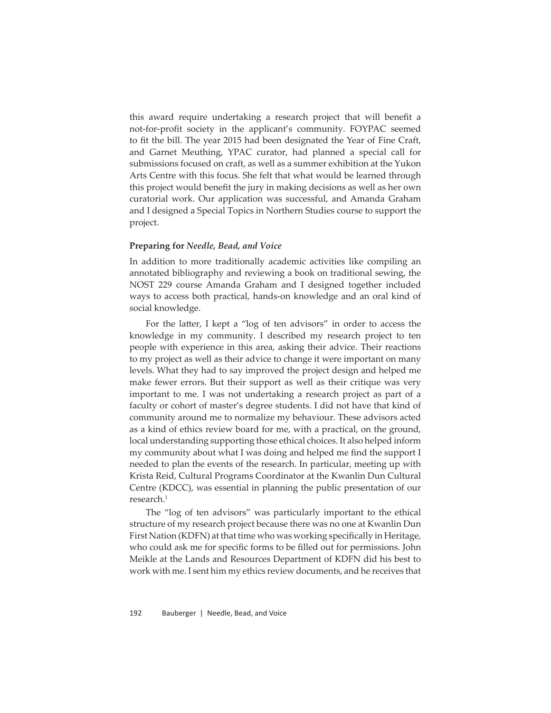this award require undertaking a research project that will benefit a not-for-profit society in the applicant's community. FOYPAC seemed to fit the bill. The year 2015 had been designated the Year of Fine Craft, and Garnet Meuthing, YPAC curator, had planned a special call for submissions focused on craft, as well as a summer exhibition at the Yukon Arts Centre with this focus. She felt that what would be learned through this project would benefit the jury in making decisions as well as her own curatorial work. Our application was successful, and Amanda Graham and I designed a Special Topics in Northern Studies course to support the project.

#### **Preparing for** *Needle, Bead, and Voice*

In addition to more traditionally academic activities like compiling an annotated bibliography and reviewing a book on traditional sewing, the NOST 229 course Amanda Graham and I designed together included ways to access both practical, hands-on knowledge and an oral kind of social knowledge.

For the latter, I kept a "log of ten advisors" in order to access the knowledge in my community. I described my research project to ten people with experience in this area, asking their advice. Their reactions to my project as well as their advice to change it were important on many levels. What they had to say improved the project design and helped me make fewer errors. But their support as well as their critique was very important to me. I was not undertaking a research project as part of a faculty or cohort of master's degree students. I did not have that kind of community around me to normalize my behaviour. These advisors acted as a kind of ethics review board for me, with a practical, on the ground, local understanding supporting those ethical choices. It also helped inform my community about what I was doing and helped me find the support I needed to plan the events of the research. In particular, meeting up with Krista Reid, Cultural Programs Coordinator at the Kwanlin Dun Cultural Centre (KDCC), was essential in planning the public presentation of our research.<sup>1</sup>

The "log of ten advisors" was particularly important to the ethical structure of my research project because there was no one at Kwanlin Dun First Nation (KDFN) at that time who was working specifically in Heritage, who could ask me for specific forms to be filled out for permissions. John Meikle at the Lands and Resources Department of KDFN did his best to work with me. I sent him my ethics review documents, and he receives that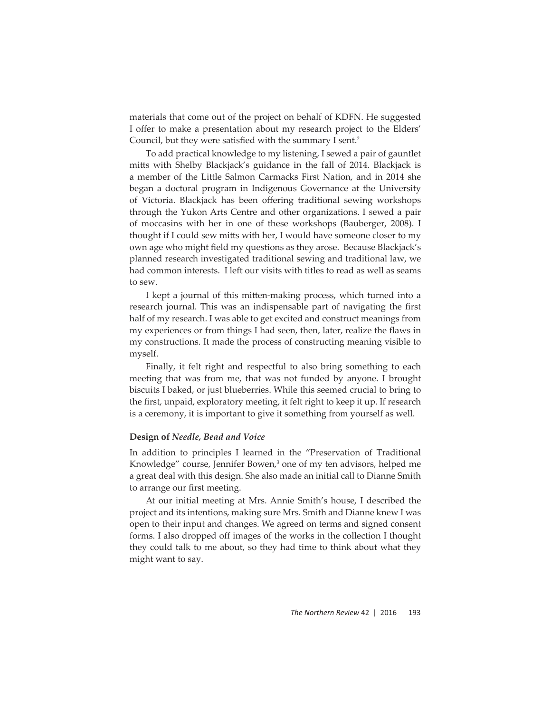materials that come out of the project on behalf of KDFN. He suggested I offer to make a presentation about my research project to the Elders' Council, but they were satisfied with the summary I sent.<sup>2</sup>

To add practical knowledge to my listening, I sewed a pair of gauntlet mitts with Shelby Blackjack's guidance in the fall of 2014. Blackjack is a member of the Little Salmon Carmacks First Nation, and in 2014 she began a doctoral program in Indigenous Governance at the University of Victoria. Blackjack has been offering traditional sewing workshops through the Yukon Arts Centre and other organizations. I sewed a pair of moccasins with her in one of these workshops (Bauberger, 2008). I thought if I could sew mitts with her, I would have someone closer to my own age who might field my questions as they arose. Because Blackjack's planned research investigated traditional sewing and traditional law, we had common interests. I left our visits with titles to read as well as seams to sew.

I kept a journal of this mitten-making process, which turned into a research journal. This was an indispensable part of navigating the first half of my research. I was able to get excited and construct meanings from my experiences or from things I had seen, then, later, realize the flaws in my constructions. It made the process of constructing meaning visible to myself.

Finally, it felt right and respectful to also bring something to each meeting that was from me, that was not funded by anyone. I brought biscuits I baked, or just blueberries. While this seemed crucial to bring to the first, unpaid, exploratory meeting, it felt right to keep it up. If research is a ceremony, it is important to give it something from yourself as well.

#### **Design of** *Needle, Bead and Voice*

In addition to principles I learned in the "Preservation of Traditional Knowledge" course, Jennifer Bowen,<sup>3</sup> one of my ten advisors, helped me a great deal with this design. She also made an initial call to Dianne Smith to arrange our first meeting.

At our initial meeting at Mrs. Annie Smith's house, I described the project and its intentions, making sure Mrs. Smith and Dianne knew I was open to their input and changes. We agreed on terms and signed consent forms. I also dropped off images of the works in the collection I thought they could talk to me about, so they had time to think about what they might want to say.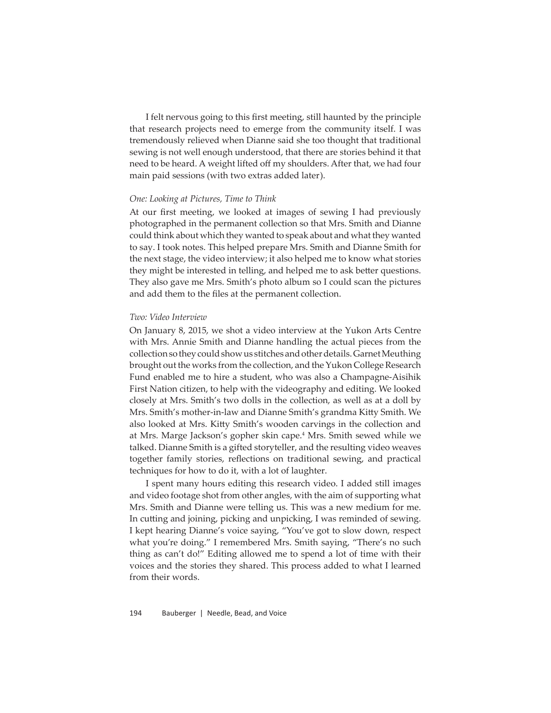I felt nervous going to this first meeting, still haunted by the principle that research projects need to emerge from the community itself. I was tremendously relieved when Dianne said she too thought that traditional sewing is not well enough understood, that there are stories behind it that need to be heard. A weight lifted off my shoulders. After that, we had four main paid sessions (with two extras added later).

#### *One: Looking at Pictures, Time to Think*

At our first meeting, we looked at images of sewing I had previously photographed in the permanent collection so that Mrs. Smith and Dianne could think about which they wanted to speak about and what they wanted to say. I took notes. This helped prepare Mrs. Smith and Dianne Smith for the next stage, the video interview; it also helped me to know what stories they might be interested in telling, and helped me to ask better questions. They also gave me Mrs. Smith's photo album so I could scan the pictures and add them to the files at the permanent collection.

#### *Two: Video Interview*

On January 8, 2015, we shot a video interview at the Yukon Arts Centre with Mrs. Annie Smith and Dianne handling the actual pieces from the collection so they could show us stitches and other details. Garnet Meuthing brought out the works from the collection, and the Yukon College Research Fund enabled me to hire a student, who was also a Champagne-Aisihik First Nation citizen, to help with the videography and editing. We looked closely at Mrs. Smith's two dolls in the collection, as well as at a doll by Mrs. Smith's mother-in-law and Dianne Smith's grandma Kitty Smith. We also looked at Mrs. Kitty Smith's wooden carvings in the collection and at Mrs. Marge Jackson's gopher skin cape.<sup>4</sup> Mrs. Smith sewed while we talked. Dianne Smith is a gifted storyteller, and the resulting video weaves together family stories, reflections on traditional sewing, and practical techniques for how to do it, with a lot of laughter.

I spent many hours editing this research video. I added still images and video footage shot from other angles, with the aim of supporting what Mrs. Smith and Dianne were telling us. This was a new medium for me. In cutting and joining, picking and unpicking, I was reminded of sewing. I kept hearing Dianne's voice saying, "You've got to slow down, respect what you're doing." I remembered Mrs. Smith saying, "There's no such thing as can't do!" Editing allowed me to spend a lot of time with their voices and the stories they shared. This process added to what I learned from their words.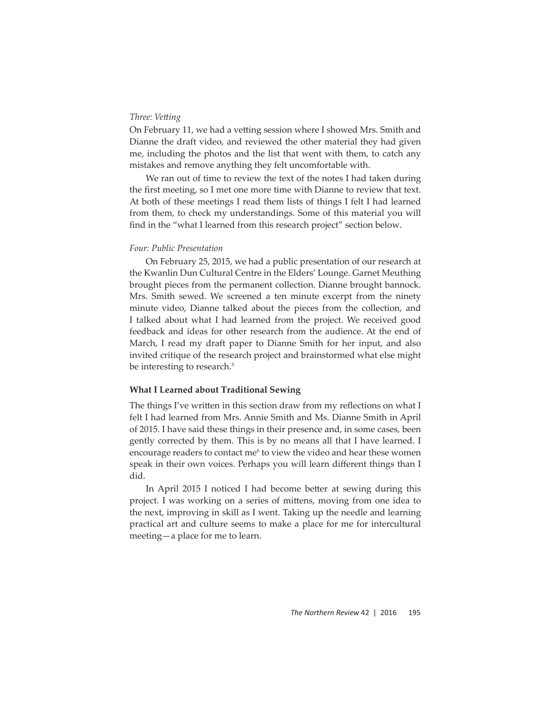# *Three: Vett ing*

On February 11, we had a vetting session where I showed Mrs. Smith and Dianne the draft video, and reviewed the other material they had given me, including the photos and the list that went with them, to catch any mistakes and remove anything they felt uncomfortable with.

We ran out of time to review the text of the notes I had taken during the first meeting, so I met one more time with Dianne to review that text. At both of these meetings I read them lists of things I felt I had learned from them, to check my understandings. Some of this material you will find in the "what I learned from this research project" section below.

#### *Four: Public Presentation*

On February 25, 2015, we had a public presentation of our research at the Kwanlin Dun Cultural Centre in the Elders' Lounge. Garnet Meuthing brought pieces from the permanent collection. Dianne brought bannock. Mrs. Smith sewed. We screened a ten minute excerpt from the ninety minute video, Dianne talked about the pieces from the collection, and I talked about what I had learned from the project. We received good feedback and ideas for other research from the audience. At the end of March, I read my draft paper to Dianne Smith for her input, and also invited critique of the research project and brainstormed what else might be interesting to research.<sup>5</sup>

# **What I Learned about Traditional Sewing**

The things I've written in this section draw from my reflections on what I felt I had learned from Mrs. Annie Smith and Ms. Dianne Smith in April of 2015. I have said these things in their presence and, in some cases, been gently corrected by them. This is by no means all that I have learned. I encourage readers to contact me<sup>6</sup> to view the video and hear these women speak in their own voices. Perhaps you will learn different things than I did.

In April 2015 I noticed I had become better at sewing during this project. I was working on a series of mittens, moving from one idea to the next, improving in skill as I went. Taking up the needle and learning practical art and culture seems to make a place for me for intercultural meeting—a place for me to learn.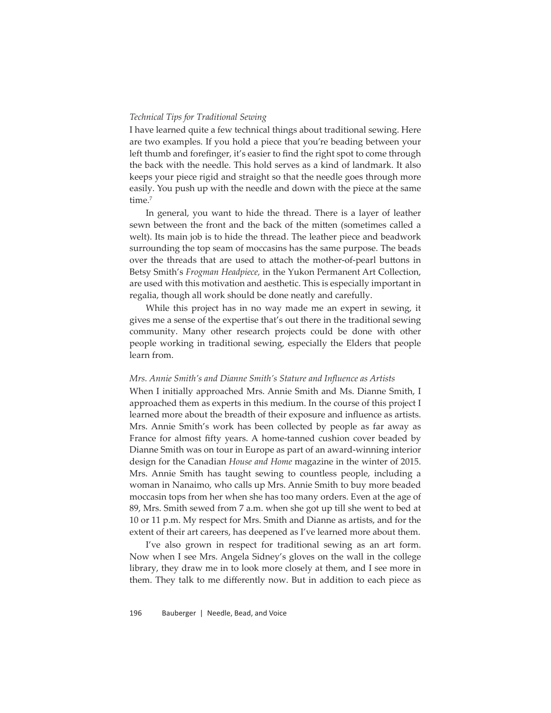#### *Technical Tips for Traditional Sewing*

I have learned quite a few technical things about traditional sewing. Here are two examples. If you hold a piece that you're beading between your left thumb and forefinger, it's easier to find the right spot to come through the back with the needle. This hold serves as a kind of landmark. It also keeps your piece rigid and straight so that the needle goes through more easily. You push up with the needle and down with the piece at the same time.<sup>7</sup>

In general, you want to hide the thread. There is a layer of leather sewn between the front and the back of the mitten (sometimes called a welt). Its main job is to hide the thread. The leather piece and beadwork surrounding the top seam of moccasins has the same purpose. The beads over the threads that are used to attach the mother-of-pearl buttons in Betsy Smith's *Frogman Headpiece,* in the Yukon Permanent Art Collection, are used with this motivation and aesthetic. This is especially important in regalia, though all work should be done neatly and carefully.

While this project has in no way made me an expert in sewing, it gives me a sense of the expertise that's out there in the traditional sewing community. Many other research projects could be done with other people working in traditional sewing, especially the Elders that people learn from.

#### *Mrs. Annie Smith's and Dianne Smith's Stature and Infl uence as Artists*

When I initially approached Mrs. Annie Smith and Ms. Dianne Smith, I approached them as experts in this medium. In the course of this project I learned more about the breadth of their exposure and influence as artists. Mrs. Annie Smith's work has been collected by people as far away as France for almost fifty years. A home-tanned cushion cover beaded by Dianne Smith was on tour in Europe as part of an award-winning interior design for the Canadian *House and Home* magazine in the winter of 2015. Mrs. Annie Smith has taught sewing to countless people, including a woman in Nanaimo, who calls up Mrs. Annie Smith to buy more beaded moccasin tops from her when she has too many orders. Even at the age of 89, Mrs. Smith sewed from 7 a.m. when she got up till she went to bed at 10 or 11 p.m. My respect for Mrs. Smith and Dianne as artists, and for the extent of their art careers, has deepened as I've learned more about them.

I've also grown in respect for traditional sewing as an art form. Now when I see Mrs. Angela Sidney's gloves on the wall in the college library, they draw me in to look more closely at them, and I see more in them. They talk to me differently now. But in addition to each piece as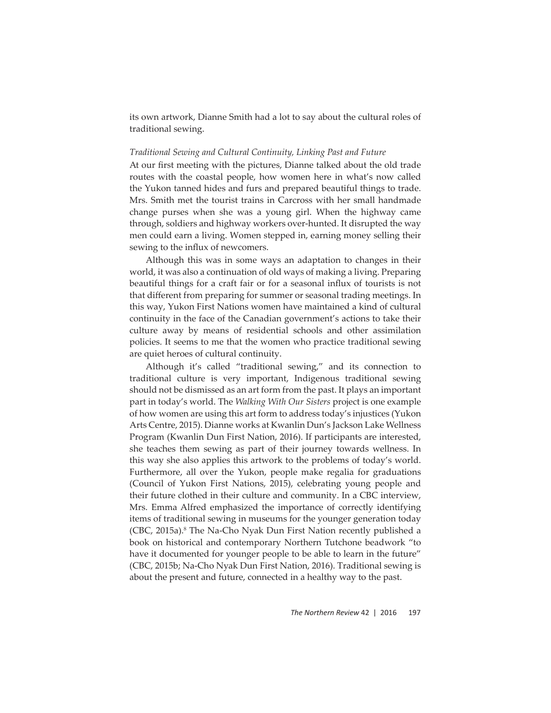its own artwork, Dianne Smith had a lot to say about the cultural roles of traditional sewing.

# *Traditional Sewing and Cultural Continuity, Linking Past and Future*

At our first meeting with the pictures, Dianne talked about the old trade routes with the coastal people, how women here in what's now called the Yukon tanned hides and furs and prepared beautiful things to trade. Mrs. Smith met the tourist trains in Carcross with her small handmade change purses when she was a young girl. When the highway came through, soldiers and highway workers over-hunted. It disrupted the way men could earn a living. Women stepped in, earning money selling their sewing to the influx of newcomers.

Although this was in some ways an adaptation to changes in their world, it was also a continuation of old ways of making a living. Preparing beautiful things for a craft fair or for a seasonal influx of tourists is not that different from preparing for summer or seasonal trading meetings. In this way, Yukon First Nations women have maintained a kind of cultural continuity in the face of the Canadian government's actions to take their culture away by means of residential schools and other assimilation policies. It seems to me that the women who practice traditional sewing are quiet heroes of cultural continuity.

Although it's called "traditional sewing," and its connection to traditional culture is very important, Indigenous traditional sewing should not be dismissed as an art form from the past. It plays an important part in today's world. The *Walking With Our Sisters* project is one example of how women are using this art form to address today's injustices (Yukon Arts Centre, 2015). Dianne works at Kwanlin Dun's Jackson Lake Wellness Program (Kwanlin Dun First Nation, 2016). If participants are interested, she teaches them sewing as part of their journey towards wellness. In this way she also applies this artwork to the problems of today's world. Furthermore, all over the Yukon, people make regalia for graduations (Council of Yukon First Nations, 2015), celebrating young people and their future clothed in their culture and community. In a CBC interview, Mrs. Emma Alfred emphasized the importance of correctly identifying items of traditional sewing in museums for the younger generation today (CBC, 2015a).<sup>8</sup> The Na-Cho Nyak Dun First Nation recently published a book on historical and contemporary Northern Tutchone beadwork "to have it documented for younger people to be able to learn in the future" (CBC, 2015b; Na-Cho Nyak Dun First Nation, 2016). Traditional sewing is about the present and future, connected in a healthy way to the past.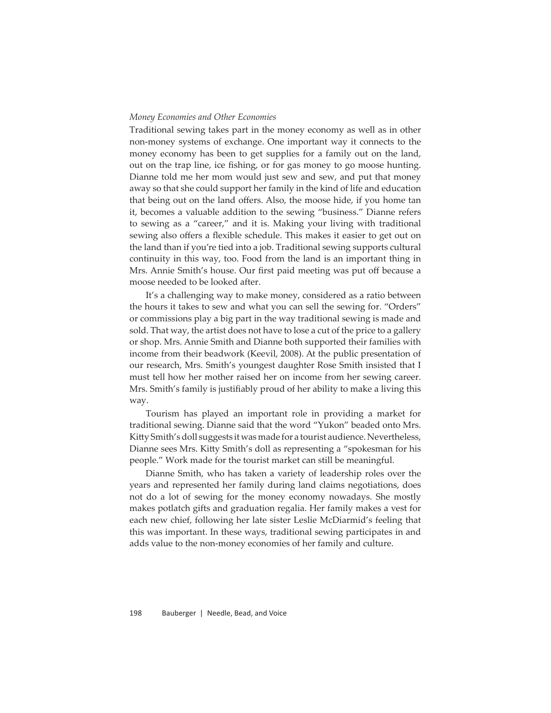#### *Money Economies and Other Economies*

Traditional sewing takes part in the money economy as well as in other non-money systems of exchange. One important way it connects to the money economy has been to get supplies for a family out on the land, out on the trap line, ice fishing, or for gas money to go moose hunting. Dianne told me her mom would just sew and sew, and put that money away so that she could support her family in the kind of life and education that being out on the land offers. Also, the moose hide, if you home tan it, becomes a valuable addition to the sewing "business." Dianne refers to sewing as a "career," and it is. Making your living with traditional sewing also offers a flexible schedule. This makes it easier to get out on the land than if you're tied into a job. Traditional sewing supports cultural continuity in this way, too. Food from the land is an important thing in Mrs. Annie Smith's house. Our first paid meeting was put off because a moose needed to be looked after.

It's a challenging way to make money, considered as a ratio between the hours it takes to sew and what you can sell the sewing for. "Orders" or commissions play a big part in the way traditional sewing is made and sold. That way, the artist does not have to lose a cut of the price to a gallery or shop. Mrs. Annie Smith and Dianne both supported their families with income from their beadwork (Keevil, 2008). At the public presentation of our research, Mrs. Smith's youngest daughter Rose Smith insisted that I must tell how her mother raised her on income from her sewing career. Mrs. Smith's family is justifiably proud of her ability to make a living this way.

Tourism has played an important role in providing a market for traditional sewing. Dianne said that the word "Yukon" beaded onto Mrs. Kitty Smith's doll suggests it was made for a tourist audience. Nevertheless, Dianne sees Mrs. Kitty Smith's doll as representing a "spokesman for his people." Work made for the tourist market can still be meaningful.

Dianne Smith, who has taken a variety of leadership roles over the years and represented her family during land claims negotiations, does not do a lot of sewing for the money economy nowadays. She mostly makes potlatch gifts and graduation regalia. Her family makes a vest for each new chief, following her late sister Leslie McDiarmid's feeling that this was important. In these ways, traditional sewing participates in and adds value to the non-money economies of her family and culture.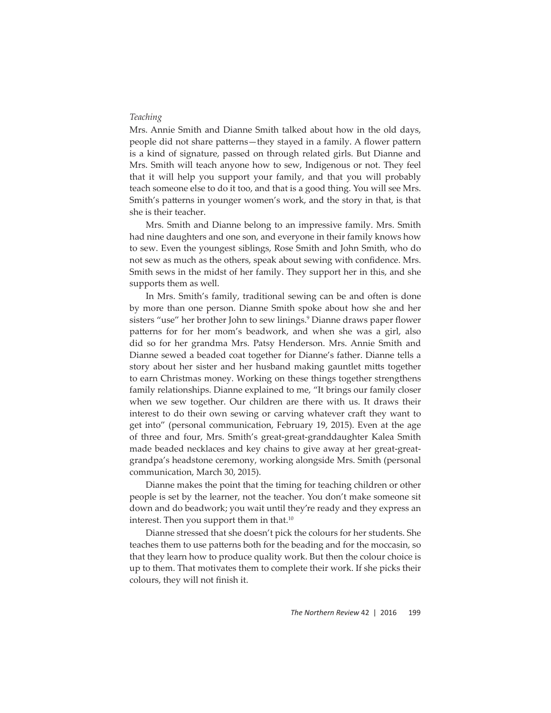#### *Teaching*

Mrs. Annie Smith and Dianne Smith talked about how in the old days, people did not share patterns—they stayed in a family. A flower pattern is a kind of signature, passed on through related girls. But Dianne and Mrs. Smith will teach anyone how to sew, Indigenous or not. They feel that it will help you support your family, and that you will probably teach someone else to do it too, and that is a good thing. You will see Mrs. Smith's patterns in younger women's work, and the story in that, is that she is their teacher.

Mrs. Smith and Dianne belong to an impressive family. Mrs. Smith had nine daughters and one son, and everyone in their family knows how to sew. Even the youngest siblings, Rose Smith and John Smith, who do not sew as much as the others, speak about sewing with confidence. Mrs. Smith sews in the midst of her family. They support her in this, and she supports them as well.

In Mrs. Smith's family, traditional sewing can be and often is done by more than one person. Dianne Smith spoke about how she and her sisters "use" her brother John to sew linings.<sup>9</sup> Dianne draws paper flower patterns for for her mom's beadwork, and when she was a girl, also did so for her grandma Mrs. Patsy Henderson. Mrs. Annie Smith and Dianne sewed a beaded coat together for Dianne's father. Dianne tells a story about her sister and her husband making gauntlet mitts together to earn Christmas money. Working on these things together strengthens family relationships. Dianne explained to me, "It brings our family closer when we sew together. Our children are there with us. It draws their interest to do their own sewing or carving whatever craft they want to get into" (personal communication, February 19, 2015). Even at the age of three and four, Mrs. Smith's great-great-granddaughter Kalea Smith made beaded necklaces and key chains to give away at her great-greatgrandpa's headstone ceremony, working alongside Mrs. Smith (personal communication, March 30, 2015).

Dianne makes the point that the timing for teaching children or other people is set by the learner, not the teacher. You don't make someone sit down and do beadwork; you wait until they're ready and they express an interest. Then you support them in that.<sup>10</sup>

Dianne stressed that she doesn't pick the colours for her students. She teaches them to use patterns both for the beading and for the moccasin, so that they learn how to produce quality work. But then the colour choice is up to them. That motivates them to complete their work. If she picks their colours, they will not finish it.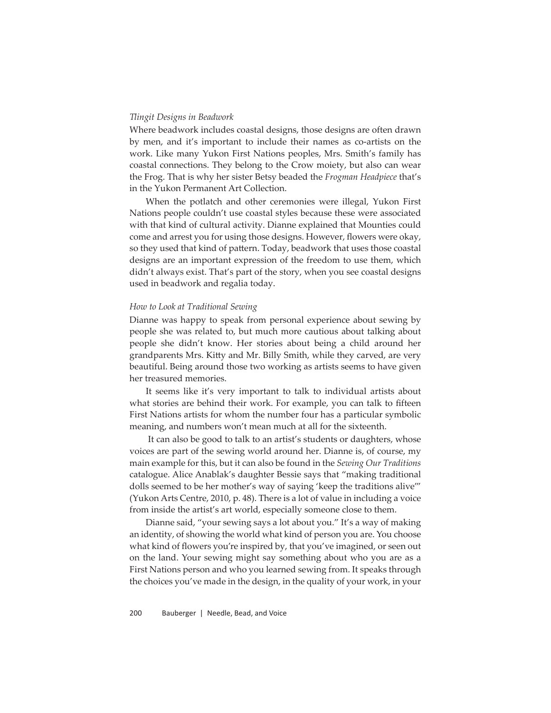#### *Tlingit Designs in Beadwork*

Where beadwork includes coastal designs, those designs are often drawn by men, and it's important to include their names as co-artists on the work. Like many Yukon First Nations peoples, Mrs. Smith's family has coastal connections. They belong to the Crow moiety, but also can wear the Frog. That is why her sister Betsy beaded the *Frogman Headpiece* that's in the Yukon Permanent Art Collection.

When the potlatch and other ceremonies were illegal, Yukon First Nations people couldn't use coastal styles because these were associated with that kind of cultural activity. Dianne explained that Mounties could come and arrest you for using those designs. However, flowers were okay, so they used that kind of pattern. Today, beadwork that uses those coastal designs are an important expression of the freedom to use them, which didn't always exist. That's part of the story, when you see coastal designs used in beadwork and regalia today.

#### *How to Look at Traditional Sewing*

Dianne was happy to speak from personal experience about sewing by people she was related to, but much more cautious about talking about people she didn't know. Her stories about being a child around her grandparents Mrs. Kitty and Mr. Billy Smith, while they carved, are very beautiful. Being around those two working as artists seems to have given her treasured memories.

It seems like it's very important to talk to individual artists about what stories are behind their work. For example, you can talk to fifteen First Nations artists for whom the number four has a particular symbolic meaning, and numbers won't mean much at all for the sixteenth.

 It can also be good to talk to an artist's students or daughters, whose voices are part of the sewing world around her. Dianne is, of course, my main example for this, but it can also be found in the *Sewing Our Traditions* catalogue. Alice Anablak's daughter Bessie says that "making traditional dolls seemed to be her mother's way of saying 'keep the traditions alive'" (Yukon Arts Centre, 2010, p. 48). There is a lot of value in including a voice from inside the artist's art world, especially someone close to them.

Dianne said, "your sewing says a lot about you." It's a way of making an identity, of showing the world what kind of person you are. You choose what kind of flowers you're inspired by, that you've imagined, or seen out on the land. Your sewing might say something about who you are as a First Nations person and who you learned sewing from. It speaks through the choices you've made in the design, in the quality of your work, in your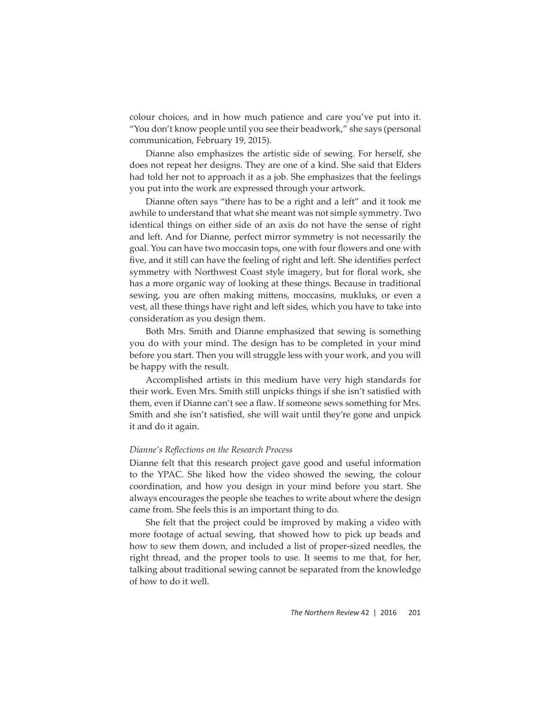colour choices, and in how much patience and care you've put into it. "You don't know people until you see their beadwork," she says (personal communication, February 19, 2015).

Dianne also emphasizes the artistic side of sewing. For herself, she does not repeat her designs. They are one of a kind. She said that Elders had told her not to approach it as a job. She emphasizes that the feelings you put into the work are expressed through your artwork.

Dianne often says "there has to be a right and a left" and it took me awhile to understand that what she meant was not simple symmetry. Two identical things on either side of an axis do not have the sense of right and left. And for Dianne, perfect mirror symmetry is not necessarily the goal. You can have two moccasin tops, one with four flowers and one with five, and it still can have the feeling of right and left. She identifies perfect symmetry with Northwest Coast style imagery, but for floral work, she has a more organic way of looking at these things. Because in traditional sewing, you are often making mittens, moccasins, mukluks, or even a vest, all these things have right and left sides, which you have to take into consideration as you design them.

Both Mrs. Smith and Dianne emphasized that sewing is something you do with your mind. The design has to be completed in your mind before you start. Then you will struggle less with your work, and you will be happy with the result.

Accomplished artists in this medium have very high standards for their work. Even Mrs. Smith still unpicks things if she isn't satisfied with them, even if Dianne can't see a flaw. If someone sews something for Mrs. Smith and she isn't satisfied, she will wait until they're gone and unpick it and do it again.

#### *Dianne's Refl ections on the Research Process*

Dianne felt that this research project gave good and useful information to the YPAC. She liked how the video showed the sewing, the colour coordination, and how you design in your mind before you start. She always encourages the people she teaches to write about where the design came from. She feels this is an important thing to do.

She felt that the project could be improved by making a video with more footage of actual sewing, that showed how to pick up beads and how to sew them down, and included a list of proper-sized needles, the right thread, and the proper tools to use. It seems to me that, for her, talking about traditional sewing cannot be separated from the knowledge of how to do it well.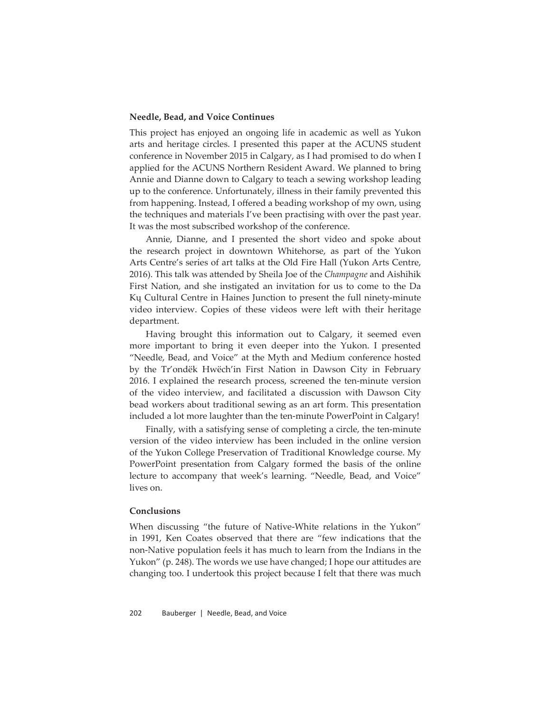# **Needle, Bead, and Voice Continues**

This project has enjoyed an ongoing life in academic as well as Yukon arts and heritage circles. I presented this paper at the ACUNS student conference in November 2015 in Calgary, as I had promised to do when I applied for the ACUNS Northern Resident Award. We planned to bring Annie and Dianne down to Calgary to teach a sewing workshop leading up to the conference. Unfortunately, illness in their family prevented this from happening. Instead, I offered a beading workshop of my own, using the techniques and materials I've been practising with over the past year. It was the most subscribed workshop of the conference.

Annie, Dianne, and I presented the short video and spoke about the research project in downtown Whitehorse, as part of the Yukon Arts Centre's series of art talks at the Old Fire Hall (Yukon Arts Centre, 2016). This talk was attended by Sheila Joe of the *Champagne* and Aishihik First Nation, and she instigated an invitation for us to come to the Da Kų Cultural Centre in Haines Junction to present the full ninety-minute video interview. Copies of these videos were left with their heritage department.

Having brought this information out to Calgary, it seemed even more important to bring it even deeper into the Yukon. I presented "Needle, Bead, and Voice" at the Myth and Medium conference hosted by the Tr'ondëk Hwëch'in First Nation in Dawson City in February 2016. I explained the research process, screened the ten-minute version of the video interview, and facilitated a discussion with Dawson City bead workers about traditional sewing as an art form. This presentation included a lot more laughter than the ten-minute PowerPoint in Calgary!

Finally, with a satisfying sense of completing a circle, the ten-minute version of the video interview has been included in the online version of the Yukon College Preservation of Traditional Knowledge course. My PowerPoint presentation from Calgary formed the basis of the online lecture to accompany that week's learning. "Needle, Bead, and Voice" lives on.

#### **Conclusions**

When discussing "the future of Native-White relations in the Yukon" in 1991, Ken Coates observed that there are "few indications that the non-Native population feels it has much to learn from the Indians in the Yukon" (p. 248). The words we use have changed; I hope our attitudes are changing too. I undertook this project because I felt that there was much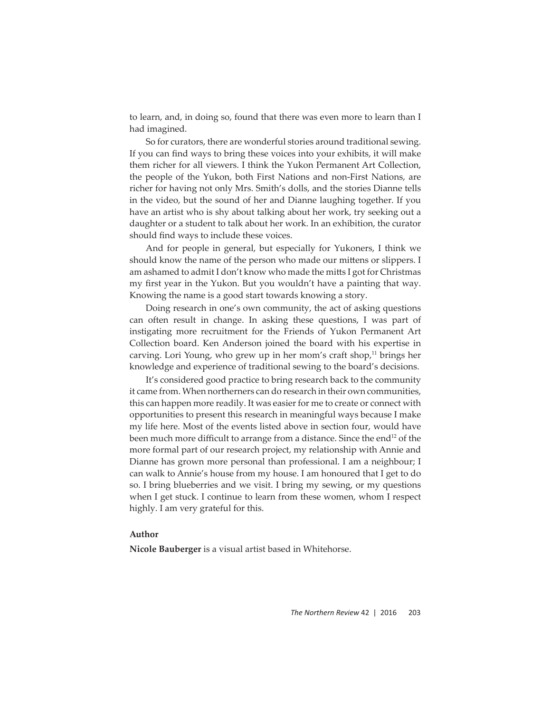to learn, and, in doing so, found that there was even more to learn than I had imagined.

So for curators, there are wonderful stories around traditional sewing. If you can find ways to bring these voices into your exhibits, it will make them richer for all viewers. I think the Yukon Permanent Art Collection, the people of the Yukon, both First Nations and non-First Nations, are richer for having not only Mrs. Smith's dolls, and the stories Dianne tells in the video, but the sound of her and Dianne laughing together. If you have an artist who is shy about talking about her work, try seeking out a daughter or a student to talk about her work. In an exhibition, the curator should find ways to include these voices.

And for people in general, but especially for Yukoners, I think we should know the name of the person who made our mittens or slippers. I am ashamed to admit I don't know who made the mitts I got for Christmas my first year in the Yukon. But you wouldn't have a painting that way. Knowing the name is a good start towards knowing a story.

Doing research in one's own community, the act of asking questions can often result in change. In asking these questions, I was part of instigating more recruitment for the Friends of Yukon Permanent Art Collection board. Ken Anderson joined the board with his expertise in carving. Lori Young, who grew up in her mom's craft shop, $11$  brings her knowledge and experience of traditional sewing to the board's decisions.

It's considered good practice to bring research back to the community it came from. When northerners can do research in their own communities, this can happen more readily. It was easier for me to create or connect with opportunities to present this research in meaningful ways because I make my life here. Most of the events listed above in section four, would have been much more difficult to arrange from a distance. Since the end<sup>12</sup> of the more formal part of our research project, my relationship with Annie and Dianne has grown more personal than professional. I am a neighbour; I can walk to Annie's house from my house. I am honoured that I get to do so. I bring blueberries and we visit. I bring my sewing, or my questions when I get stuck. I continue to learn from these women, whom I respect highly. I am very grateful for this.

# **Author**

**Nicole Bauberger** is a visual artist based in Whitehorse.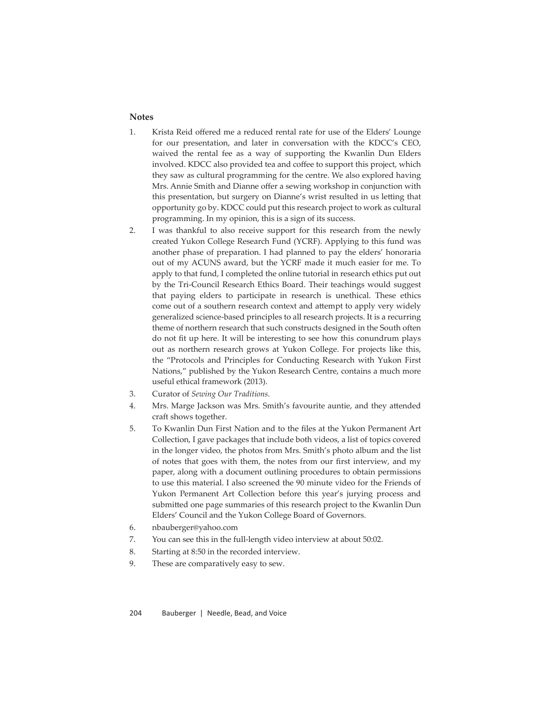# **Notes**

- 1. Krista Reid offered me a reduced rental rate for use of the Elders' Lounge for our presentation, and later in conversation with the KDCC's CEO, waived the rental fee as a way of supporting the Kwanlin Dun Elders involved. KDCC also provided tea and coffee to support this project, which they saw as cultural programming for the centre. We also explored having Mrs. Annie Smith and Dianne offer a sewing workshop in conjunction with this presentation, but surgery on Dianne's wrist resulted in us letting that opportunity go by. KDCC could put this research project to work as cultural programming. In my opinion, this is a sign of its success.
- 2. I was thankful to also receive support for this research from the newly created Yukon College Research Fund (YCRF). Applying to this fund was another phase of preparation. I had planned to pay the elders' honoraria out of my ACUNS award, but the YCRF made it much easier for me. To apply to that fund, I completed the online tutorial in research ethics put out by the Tri-Council Research Ethics Board. Their teachings would suggest that paying elders to participate in research is unethical. These ethics come out of a southern research context and attempt to apply very widely generalized science-based principles to all research projects. It is a recurring theme of northern research that such constructs designed in the South often do not fit up here. It will be interesting to see how this conundrum plays out as northern research grows at Yukon College. For projects like this, the "Protocols and Principles for Conducting Research with Yukon First Nations," published by the Yukon Research Centre, contains a much more useful ethical framework (2013).
- 3. Curator of *Sewing Our Traditions.*
- 4. Mrs. Marge Jackson was Mrs. Smith's favourite auntie, and they attended craft shows together.
- 5. To Kwanlin Dun First Nation and to the files at the Yukon Permanent Art Collection, I gave packages that include both videos, a list of topics covered in the longer video, the photos from Mrs. Smith's photo album and the list of notes that goes with them, the notes from our first interview, and my paper, along with a document outlining procedures to obtain permissions to use this material. I also screened the 90 minute video for the Friends of Yukon Permanent Art Collection before this year's jurying process and submitted one page summaries of this research project to the Kwanlin Dun Elders' Council and the Yukon College Board of Governors.
- 6. nbauberger@yahoo.com
- 7. You can see this in the full-length video interview at about 50:02.
- 8. Starting at 8:50 in the recorded interview.
- 9. These are comparatively easy to sew.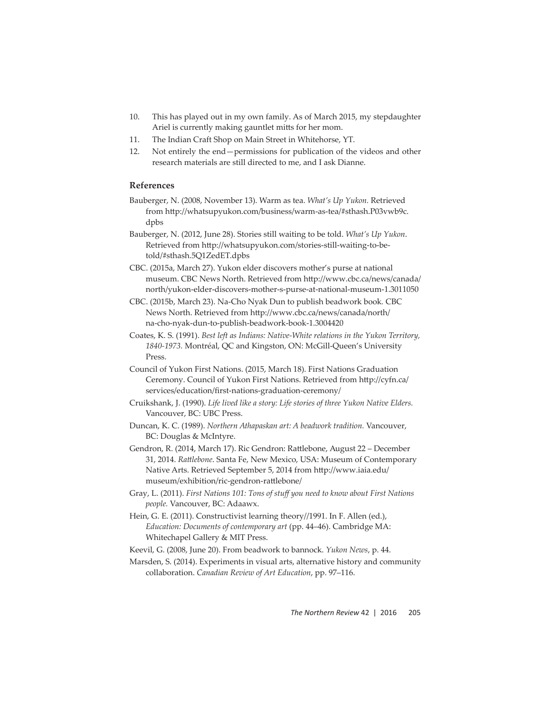- 10. This has played out in my own family. As of March 2015, my stepdaughter Ariel is currently making gauntlet mitts for her mom.
- 11. The Indian Craft Shop on Main Street in Whitehorse, YT.
- 12. Not entirely the end—permissions for publication of the videos and other research materials are still directed to me, and I ask Dianne.

# **References**

- Bauberger, N. (2008, November 13). Warm as tea. *What's Up Yukon.* Retrieved from http://whatsupyukon.com/business/warm-as-tea/#sthash.P03vwb9c. dpbs
- Bauberger, N. (2012, June 28). Stories still waiting to be told. *What's Up Yukon*. Retrieved from http://whatsupyukon.com/stories-still-waiting-to-betold/#sthash.5Q1ZedET.dpbs
- CBC. (2015a, March 27). Yukon elder discovers mother's purse at national museum. CBC News North. Retrieved from http://www.cbc.ca/news/canada/ north/yukon-elder-discovers-mother-s-purse-at-national-museum-1.3011050
- CBC. (2015b, March 23). Na-Cho Nyak Dun to publish beadwork book*.* CBC News North. Retrieved from http://www.cbc.ca/news/canada/north/ na-cho-nyak-dun-to-publish-beadwork-book-1.3004420
- Coates, K. S. (1991). *Best left as Indians: Native-White relations in the Yukon Territory, 1840-1973.* Montréal, QC and Kingston, ON: McGill-Queen's University Press.
- Council of Yukon First Nations. (2015, March 18). First Nations Graduation Ceremony. Council of Yukon First Nations. Retrieved from http://cyfn.ca/ services/education/first-nations-graduation-ceremony/
- Cruikshank, J. (1990). *Life lived like a story: Life stories of three Yukon Native Elders.* Vancouver, BC: UBC Press.
- Duncan, K. C. (1989). *Northern Athapaskan art: A beadwork tradition.* Vancouver, BC: Douglas & McIntyre.
- Gendron, R. (2014, March 17). Ric Gendron: Rattlebone, August 22 December 31, 2014. *Ratt lebone*. Santa Fe, New Mexico, USA: Museum of Contemporary Native Arts. Retrieved September 5, 2014 from http://www.iaia.edu/ museum/exhibition/ric-gendron-rattlebone/
- Gray, L. (2011). *First Nations 101: Tons of stuff you need to know about First Nations people.* Vancouver, BC: Adaawx.
- Hein, G. E. (2011). Constructivist learning theory//1991. In F. Allen (ed.), *Education: Documents of contemporary art* (pp. 44–46). Cambridge MA: Whitechapel Gallery & MIT Press.
- Keevil, G. (2008, June 20). From beadwork to bannock. *Yukon News*, p. 44.
- Marsden, S. (2014). Experiments in visual arts, alternative history and community collaboration. *Canadian Review of Art Education*, pp. 97–116.